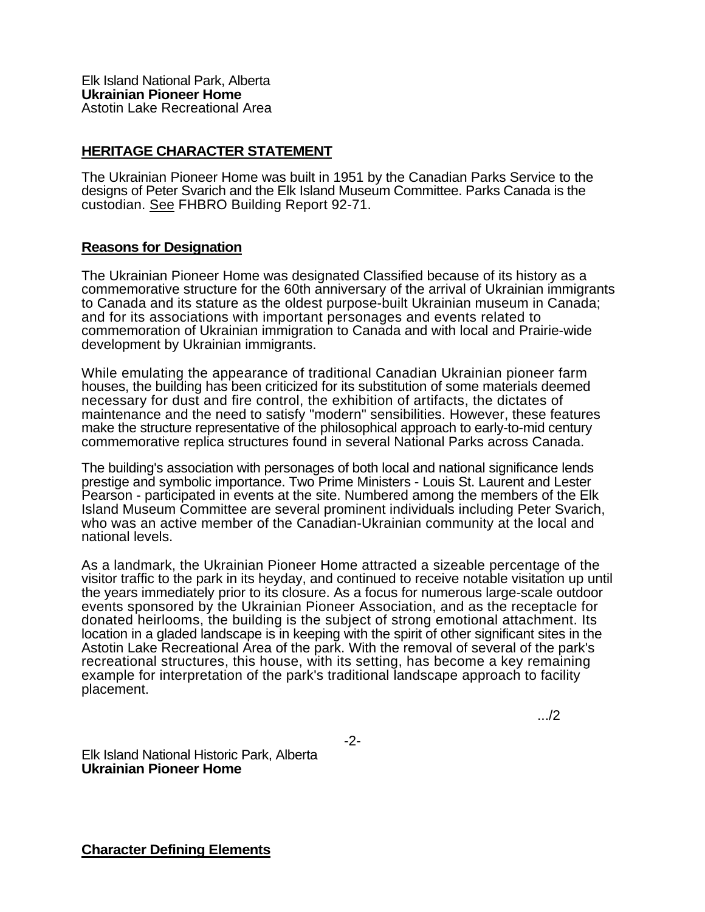## **HERITAGE CHARACTER STATEMENT**

The Ukrainian Pioneer Home was built in 1951 by the Canadian Parks Service to the designs of Peter Svarich and the Elk Island Museum Committee. Parks Canada is the custodian. See FHBRO Building Report 92-71.

## **Reasons for Designation**

The Ukrainian Pioneer Home was designated Classified because of its history as a commemorative structure for the 60th anniversary of the arrival of Ukrainian immigrants to Canada and its stature as the oldest purpose-built Ukrainian museum in Canada; and for its associations with important personages and events related to commemoration of Ukrainian immigration to Canada and with local and Prairie-wide development by Ukrainian immigrants.

While emulating the appearance of traditional Canadian Ukrainian pioneer farm houses, the building has been criticized for its substitution of some materials deemed necessary for dust and fire control, the exhibition of artifacts, the dictates of maintenance and the need to satisfy "modern" sensibilities. However, these features make the structure representative of the philosophical approach to early-to-mid century commemorative replica structures found in several National Parks across Canada.

The building's association with personages of both local and national significance lends prestige and symbolic importance. Two Prime Ministers - Louis St. Laurent and Lester Pearson - participated in events at the site. Numbered among the members of the Elk Island Museum Committee are several prominent individuals including Peter Svarich, who was an active member of the Canadian-Ukrainian community at the local and national levels.

As a landmark, the Ukrainian Pioneer Home attracted a sizeable percentage of the visitor traffic to the park in its heyday, and continued to receive notable visitation up until the years immediately prior to its closure. As a focus for numerous large-scale outdoor events sponsored by the Ukrainian Pioneer Association, and as the receptacle for donated heirlooms, the building is the subject of strong emotional attachment. Its location in a gladed landscape is in keeping with the spirit of other significant sites in the Astotin Lake Recreational Area of the park. With the removal of several of the park's recreational structures, this house, with its setting, has become a key remaining example for interpretation of the park's traditional landscape approach to facility placement.

-2-

.../2

Elk Island National Historic Park, Alberta **Ukrainian Pioneer Home**